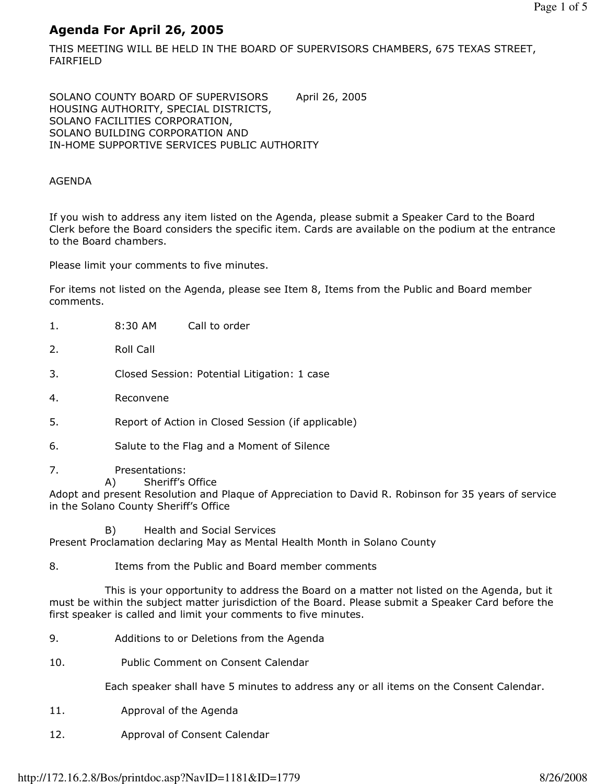# Agenda For April 26, 2005

THIS MEETING WILL BE HELD IN THE BOARD OF SUPERVISORS CHAMBERS, 675 TEXAS STREET, FAIRFIELD

SOLANO COUNTY BOARD OF SUPERVISORS April 26, 2005 HOUSING AUTHORITY, SPECIAL DISTRICTS, SOLANO FACILITIES CORPORATION, SOLANO BUILDING CORPORATION AND IN-HOME SUPPORTIVE SERVICES PUBLIC AUTHORITY

## AGENDA

If you wish to address any item listed on the Agenda, please submit a Speaker Card to the Board Clerk before the Board considers the specific item. Cards are available on the podium at the entrance to the Board chambers.

Please limit your comments to five minutes.

For items not listed on the Agenda, please see Item 8, Items from the Public and Board member comments.

- 1. 8:30 AM Call to order
- 2. Roll Call
- 3. Closed Session: Potential Litigation: 1 case
- 4. Reconvene
- 5. Report of Action in Closed Session (if applicable)
- 6. Salute to the Flag and a Moment of Silence
- 7. Presentations:
	- A) Sheriff's Office

Adopt and present Resolution and Plaque of Appreciation to David R. Robinson for 35 years of service in the Solano County Sheriff's Office

 B) Health and Social Services Present Proclamation declaring May as Mental Health Month in Solano County

8. Items from the Public and Board member comments

 This is your opportunity to address the Board on a matter not listed on the Agenda, but it must be within the subject matter jurisdiction of the Board. Please submit a Speaker Card before the first speaker is called and limit your comments to five minutes.

- 9. Additions to or Deletions from the Agenda
- 10. Public Comment on Consent Calendar

Each speaker shall have 5 minutes to address any or all items on the Consent Calendar.

- 11. Approval of the Agenda
- 12. Approval of Consent Calendar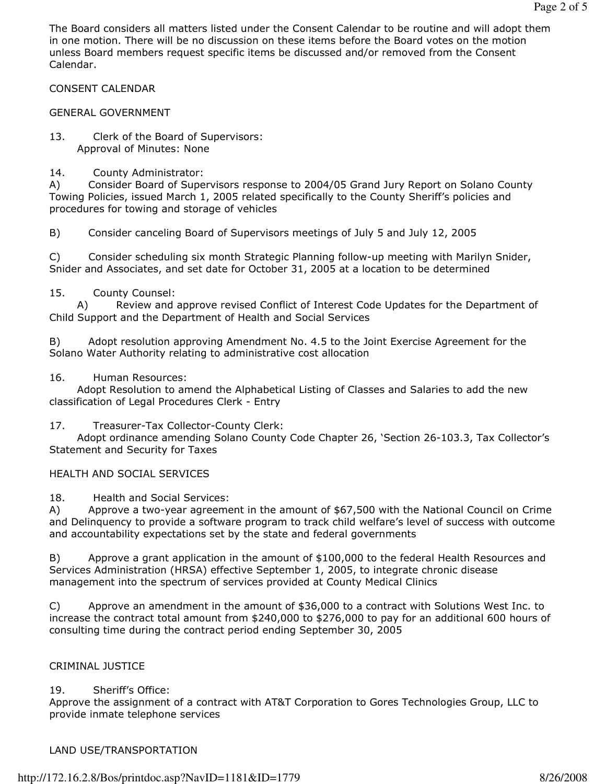The Board considers all matters listed under the Consent Calendar to be routine and will adopt them in one motion. There will be no discussion on these items before the Board votes on the motion unless Board members request specific items be discussed and/or removed from the Consent Calendar.

## CONSENT CALENDAR

#### GENERAL GOVERNMENT

- 13. Clerk of the Board of Supervisors: Approval of Minutes: None
- 14. County Administrator:

A) Consider Board of Supervisors response to 2004/05 Grand Jury Report on Solano County Towing Policies, issued March 1, 2005 related specifically to the County Sheriff's policies and procedures for towing and storage of vehicles

B) Consider canceling Board of Supervisors meetings of July 5 and July 12, 2005

C) Consider scheduling six month Strategic Planning follow-up meeting with Marilyn Snider, Snider and Associates, and set date for October 31, 2005 at a location to be determined

#### 15. County Counsel:

 A) Review and approve revised Conflict of Interest Code Updates for the Department of Child Support and the Department of Health and Social Services

B) Adopt resolution approving Amendment No. 4.5 to the Joint Exercise Agreement for the Solano Water Authority relating to administrative cost allocation

#### 16. Human Resources:

 Adopt Resolution to amend the Alphabetical Listing of Classes and Salaries to add the new classification of Legal Procedures Clerk - Entry

## 17. Treasurer-Tax Collector-County Clerk:

 Adopt ordinance amending Solano County Code Chapter 26, 'Section 26-103.3, Tax Collector's Statement and Security for Taxes

## HEALTH AND SOCIAL SERVICES

18. Health and Social Services:

A) Approve a two-year agreement in the amount of \$67,500 with the National Council on Crime and Delinquency to provide a software program to track child welfare's level of success with outcome and accountability expectations set by the state and federal governments

B) Approve a grant application in the amount of \$100,000 to the federal Health Resources and Services Administration (HRSA) effective September 1, 2005, to integrate chronic disease management into the spectrum of services provided at County Medical Clinics

C) Approve an amendment in the amount of \$36,000 to a contract with Solutions West Inc. to increase the contract total amount from \$240,000 to \$276,000 to pay for an additional 600 hours of consulting time during the contract period ending September 30, 2005

## CRIMINAL JUSTICE

## 19. Sheriff's Office:

Approve the assignment of a contract with AT&T Corporation to Gores Technologies Group, LLC to provide inmate telephone services

## LAND USE/TRANSPORTATION

#### http://172.16.2.8/Bos/printdoc.asp?NavID=1181&ID=1779 8/26/2008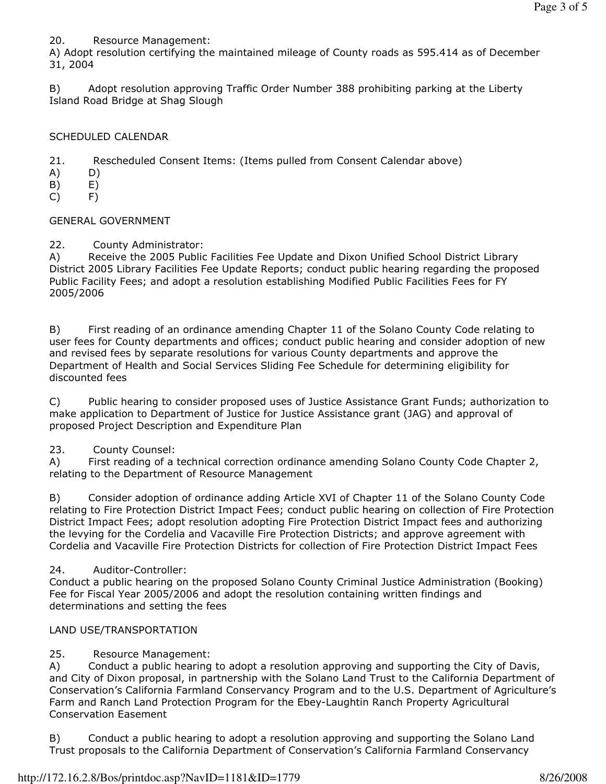20. Resource Management:

A) Adopt resolution certifying the maintained mileage of County roads as 595.414 as of December 31, 2004

B) Adopt resolution approving Traffic Order Number 388 prohibiting parking at the Liberty Island Road Bridge at Shag Slough

# SCHEDULED CALENDAR

21. Rescheduled Consent Items: (Items pulled from Consent Calendar above)

- A) D)
- B) E)
- C) F)

## GENERAL GOVERNMENT

22. County Administrator:

A) Receive the 2005 Public Facilities Fee Update and Dixon Unified School District Library District 2005 Library Facilities Fee Update Reports; conduct public hearing regarding the proposed Public Facility Fees; and adopt a resolution establishing Modified Public Facilities Fees for FY 2005/2006

B) First reading of an ordinance amending Chapter 11 of the Solano County Code relating to user fees for County departments and offices; conduct public hearing and consider adoption of new and revised fees by separate resolutions for various County departments and approve the Department of Health and Social Services Sliding Fee Schedule for determining eligibility for discounted fees

C) Public hearing to consider proposed uses of Justice Assistance Grant Funds; authorization to make application to Department of Justice for Justice Assistance grant (JAG) and approval of proposed Project Description and Expenditure Plan

## 23. County Counsel:

A) First reading of a technical correction ordinance amending Solano County Code Chapter 2, relating to the Department of Resource Management

B) Consider adoption of ordinance adding Article XVI of Chapter 11 of the Solano County Code relating to Fire Protection District Impact Fees; conduct public hearing on collection of Fire Protection District Impact Fees; adopt resolution adopting Fire Protection District Impact fees and authorizing the levying for the Cordelia and Vacaville Fire Protection Districts; and approve agreement with Cordelia and Vacaville Fire Protection Districts for collection of Fire Protection District Impact Fees

## 24. Auditor-Controller:

Conduct a public hearing on the proposed Solano County Criminal Justice Administration (Booking) Fee for Fiscal Year 2005/2006 and adopt the resolution containing written findings and determinations and setting the fees

## LAND USE/TRANSPORTATION

# 25. Resource Management:

A) Conduct a public hearing to adopt a resolution approving and supporting the City of Davis, and City of Dixon proposal, in partnership with the Solano Land Trust to the California Department of Conservation's California Farmland Conservancy Program and to the U.S. Department of Agriculture's Farm and Ranch Land Protection Program for the Ebey-Laughtin Ranch Property Agricultural Conservation Easement

B) Conduct a public hearing to adopt a resolution approving and supporting the Solano Land Trust proposals to the California Department of Conservation's California Farmland Conservancy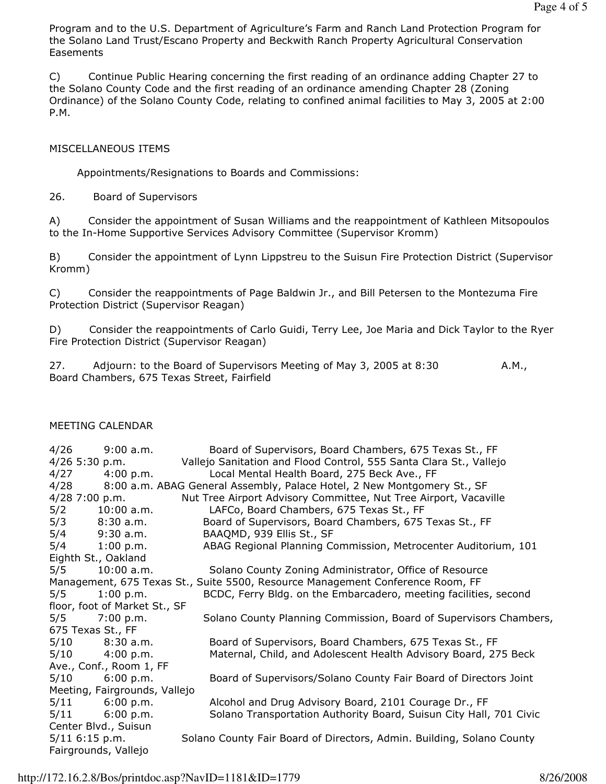Program and to the U.S. Department of Agriculture's Farm and Ranch Land Protection Program for the Solano Land Trust/Escano Property and Beckwith Ranch Property Agricultural Conservation Easements

C) Continue Public Hearing concerning the first reading of an ordinance adding Chapter 27 to the Solano County Code and the first reading of an ordinance amending Chapter 28 (Zoning Ordinance) of the Solano County Code, relating to confined animal facilities to May 3, 2005 at 2:00 P.M.

## MISCELLANEOUS ITEMS

Appointments/Resignations to Boards and Commissions:

26. Board of Supervisors

A) Consider the appointment of Susan Williams and the reappointment of Kathleen Mitsopoulos to the In-Home Supportive Services Advisory Committee (Supervisor Kromm)

B) Consider the appointment of Lynn Lippstreu to the Suisun Fire Protection District (Supervisor Kromm)

C) Consider the reappointments of Page Baldwin Jr., and Bill Petersen to the Montezuma Fire Protection District (Supervisor Reagan)

D) Consider the reappointments of Carlo Guidi, Terry Lee, Joe Maria and Dick Taylor to the Ryer Fire Protection District (Supervisor Reagan)

27. Adjourn: to the Board of Supervisors Meeting of May 3, 2005 at 8:30 A.M., Board Chambers, 675 Texas Street, Fairfield

# MEETING CALENDAR

| 4/26                                                                           | 9:00 a.m.        | Board of Supervisors, Board Chambers, 675 Texas St., FF                      |
|--------------------------------------------------------------------------------|------------------|------------------------------------------------------------------------------|
|                                                                                | 4/26 5:30 p.m.   | Vallejo Sanitation and Flood Control, 555 Santa Clara St., Vallejo           |
|                                                                                | $4/27$ 4:00 p.m. | Local Mental Health Board, 275 Beck Ave., FF                                 |
|                                                                                |                  | 4/28 8:00 a.m. ABAG General Assembly, Palace Hotel, 2 New Montgomery St., SF |
|                                                                                | $4/28$ 7:00 p.m. | Nut Tree Airport Advisory Committee, Nut Tree Airport, Vacaville             |
|                                                                                | $5/2$ 10:00 a.m. | LAFCo, Board Chambers, 675 Texas St., FF                                     |
|                                                                                | $5/3$ 8:30 a.m.  | Board of Supervisors, Board Chambers, 675 Texas St., FF                      |
|                                                                                | 5/4 9:30 a.m.    | BAAQMD, 939 Ellis St., SF                                                    |
|                                                                                | $5/4$ 1:00 p.m.  | ABAG Regional Planning Commission, Metrocenter Auditorium, 101               |
| Eighth St., Oakland                                                            |                  |                                                                              |
| 5/5                                                                            | $10:00$ a.m.     | Solano County Zoning Administrator, Office of Resource                       |
| Management, 675 Texas St., Suite 5500, Resource Management Conference Room, FF |                  |                                                                              |
|                                                                                | $5/5$ 1:00 p.m.  | BCDC, Ferry Bldg. on the Embarcadero, meeting facilities, second             |
| floor, foot of Market St., SF                                                  |                  |                                                                              |
|                                                                                | $5/5$ 7:00 p.m.  | Solano County Planning Commission, Board of Supervisors Chambers,            |
| 675 Texas St., FF                                                              |                  |                                                                              |
|                                                                                | $5/10$ 8:30 a.m. | Board of Supervisors, Board Chambers, 675 Texas St., FF                      |
|                                                                                | $5/10$ 4:00 p.m. | Maternal, Child, and Adolescent Health Advisory Board, 275 Beck              |
| Ave., Conf., Room 1, FF                                                        |                  |                                                                              |
|                                                                                | $5/10$ 6:00 p.m. | Board of Supervisors/Solano County Fair Board of Directors Joint             |
| Meeting, Fairgrounds, Vallejo                                                  |                  |                                                                              |
|                                                                                | $5/11$ 6:00 p.m. | Alcohol and Drug Advisory Board, 2101 Courage Dr., FF                        |
|                                                                                | $5/11$ 6:00 p.m. | Solano Transportation Authority Board, Suisun City Hall, 701 Civic           |
| Center Blvd., Suisun                                                           |                  |                                                                              |
|                                                                                | $5/11$ 6:15 p.m. | Solano County Fair Board of Directors, Admin. Building, Solano County        |
| Fairgrounds, Vallejo                                                           |                  |                                                                              |